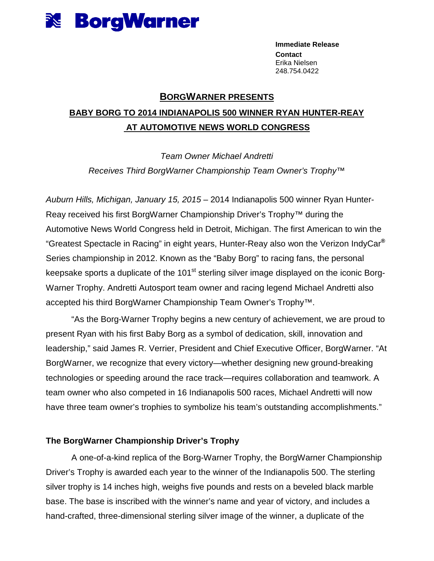

**Immediate Release Contact**  Erika Nielsen 248.754.0422

## **BORGWARNER PRESENTS**

# **BABY BORG TO 2014 INDIANAPOLIS 500 WINNER RYAN HUNTER-REAY AT AUTOMOTIVE NEWS WORLD CONGRESS**

Team Owner Michael Andretti Receives Third BorgWarner Championship Team Owner's Trophy™

Auburn Hills, Michigan, January 15, 2015 – 2014 Indianapolis 500 winner Ryan Hunter-Reay received his first BorgWarner Championship Driver's Trophy™ during the Automotive News World Congress held in Detroit, Michigan. The first American to win the "Greatest Spectacle in Racing" in eight years, Hunter-Reay also won the Verizon IndyCar**®** Series championship in 2012. Known as the "Baby Borg" to racing fans, the personal keepsake sports a duplicate of the  $101<sup>st</sup>$  sterling silver image displayed on the iconic Borg-Warner Trophy. Andretti Autosport team owner and racing legend Michael Andretti also accepted his third BorgWarner Championship Team Owner's Trophy™.

"As the Borg-Warner Trophy begins a new century of achievement, we are proud to present Ryan with his first Baby Borg as a symbol of dedication, skill, innovation and leadership," said James R. Verrier, President and Chief Executive Officer, BorgWarner. "At BorgWarner, we recognize that every victory—whether designing new ground-breaking technologies or speeding around the race track—requires collaboration and teamwork. A team owner who also competed in 16 Indianapolis 500 races, Michael Andretti will now have three team owner's trophies to symbolize his team's outstanding accomplishments."

## **The BorgWarner Championship Driver's Trophy**

A one-of-a-kind replica of the Borg-Warner Trophy, the BorgWarner Championship Driver's Trophy is awarded each year to the winner of the Indianapolis 500. The sterling silver trophy is 14 inches high, weighs five pounds and rests on a beveled black marble base. The base is inscribed with the winner's name and year of victory, and includes a hand-crafted, three-dimensional sterling silver image of the winner, a duplicate of the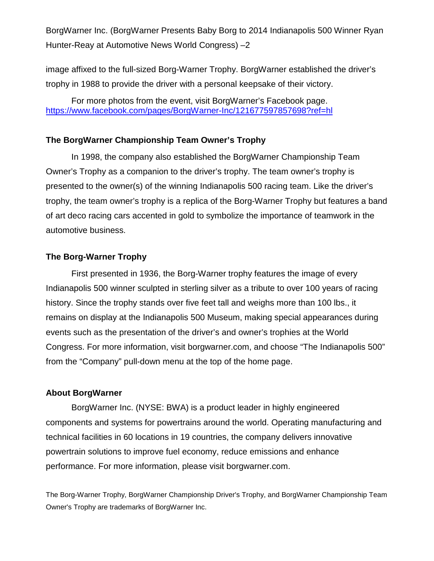BorgWarner Inc. (BorgWarner Presents Baby Borg to 2014 Indianapolis 500 Winner Ryan Hunter-Reay at Automotive News World Congress) –2

image affixed to the full-sized Borg-Warner Trophy. BorgWarner established the driver's trophy in 1988 to provide the driver with a personal keepsake of their victory.

For more photos from the event, visit BorgWarner's Facebook page. https://www.facebook.com/pages/BorgWarner-Inc/121677597857698?ref=hl

### **The BorgWarner Championship Team Owner's Trophy**

In 1998, the company also established the BorgWarner Championship Team Owner's Trophy as a companion to the driver's trophy. The team owner's trophy is presented to the owner(s) of the winning Indianapolis 500 racing team. Like the driver's trophy, the team owner's trophy is a replica of the Borg-Warner Trophy but features a band of art deco racing cars accented in gold to symbolize the importance of teamwork in the automotive business.

### **The Borg-Warner Trophy**

First presented in 1936, the Borg-Warner trophy features the image of every Indianapolis 500 winner sculpted in sterling silver as a tribute to over 100 years of racing history. Since the trophy stands over five feet tall and weighs more than 100 lbs., it remains on display at the Indianapolis 500 Museum, making special appearances during events such as the presentation of the driver's and owner's trophies at the World Congress. For more information, visit borgwarner.com, and choose "The Indianapolis 500" from the "Company" pull-down menu at the top of the home page.

#### **About BorgWarner**

BorgWarner Inc. (NYSE: BWA) is a product leader in highly engineered components and systems for powertrains around the world. Operating manufacturing and technical facilities in 60 locations in 19 countries, the company delivers innovative powertrain solutions to improve fuel economy, reduce emissions and enhance performance. For more information, please visit borgwarner.com.

The Borg-Warner Trophy, BorgWarner Championship Driver's Trophy, and BorgWarner Championship Team Owner's Trophy are trademarks of BorgWarner Inc.